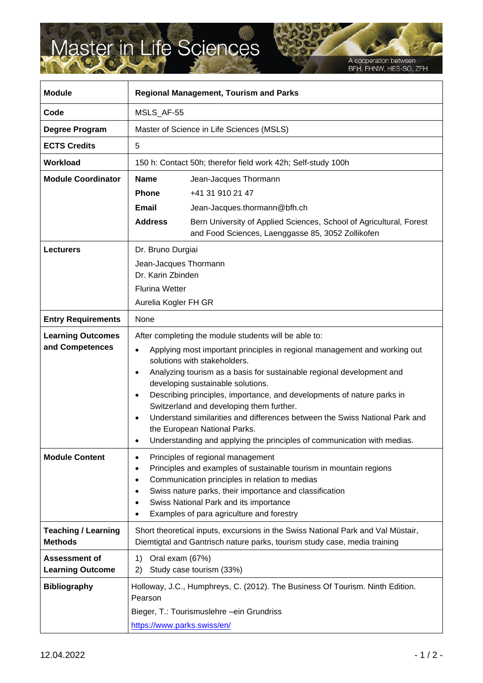## Master in Life Sciences

A cooperation between<br>BFH, FHNW, HES-SO, ZFH

| <b>Module</b>                                   | <b>Regional Management, Tourism and Parks</b>                                                                                                                                                                                                                                                                                                                                                                                                                                                                                                                                                                                           |                                                                                                                                                                                                                                                                                                             |
|-------------------------------------------------|-----------------------------------------------------------------------------------------------------------------------------------------------------------------------------------------------------------------------------------------------------------------------------------------------------------------------------------------------------------------------------------------------------------------------------------------------------------------------------------------------------------------------------------------------------------------------------------------------------------------------------------------|-------------------------------------------------------------------------------------------------------------------------------------------------------------------------------------------------------------------------------------------------------------------------------------------------------------|
| Code                                            | MSLS_AF-55                                                                                                                                                                                                                                                                                                                                                                                                                                                                                                                                                                                                                              |                                                                                                                                                                                                                                                                                                             |
| Degree Program                                  | Master of Science in Life Sciences (MSLS)                                                                                                                                                                                                                                                                                                                                                                                                                                                                                                                                                                                               |                                                                                                                                                                                                                                                                                                             |
| <b>ECTS Credits</b>                             | 5                                                                                                                                                                                                                                                                                                                                                                                                                                                                                                                                                                                                                                       |                                                                                                                                                                                                                                                                                                             |
| <b>Workload</b>                                 | 150 h: Contact 50h; therefor field work 42h; Self-study 100h                                                                                                                                                                                                                                                                                                                                                                                                                                                                                                                                                                            |                                                                                                                                                                                                                                                                                                             |
| <b>Module Coordinator</b>                       | <b>Name</b><br>Phone<br>Email                                                                                                                                                                                                                                                                                                                                                                                                                                                                                                                                                                                                           | Jean-Jacques Thormann<br>+41 31 910 21 47<br>Jean-Jacques.thormann@bfh.ch                                                                                                                                                                                                                                   |
|                                                 | <b>Address</b>                                                                                                                                                                                                                                                                                                                                                                                                                                                                                                                                                                                                                          | Bern University of Applied Sciences, School of Agricultural, Forest<br>and Food Sciences, Laenggasse 85, 3052 Zollikofen                                                                                                                                                                                    |
| <b>Lecturers</b>                                | Dr. Bruno Durgiai<br>Jean-Jacques Thormann<br>Dr. Karin Zbinden<br><b>Flurina Wetter</b><br>Aurelia Kogler FH GR                                                                                                                                                                                                                                                                                                                                                                                                                                                                                                                        |                                                                                                                                                                                                                                                                                                             |
| <b>Entry Requirements</b>                       | None                                                                                                                                                                                                                                                                                                                                                                                                                                                                                                                                                                                                                                    |                                                                                                                                                                                                                                                                                                             |
| <b>Learning Outcomes</b><br>and Competences     | After completing the module students will be able to:<br>Applying most important principles in regional management and working out<br>$\bullet$<br>solutions with stakeholders.<br>Analyzing tourism as a basis for sustainable regional development and<br>$\bullet$<br>developing sustainable solutions.<br>Describing principles, importance, and developments of nature parks in<br>Switzerland and developing them further.<br>Understand similarities and differences between the Swiss National Park and<br>$\bullet$<br>the European National Parks.<br>Understanding and applying the principles of communication with medias. |                                                                                                                                                                                                                                                                                                             |
| <b>Module Content</b>                           | $\bullet$                                                                                                                                                                                                                                                                                                                                                                                                                                                                                                                                                                                                                               | Principles of regional management<br>Principles and examples of sustainable tourism in mountain regions<br>Communication principles in relation to medias<br>Swiss nature parks, their importance and classification<br>Swiss National Park and its importance<br>Examples of para agriculture and forestry |
| <b>Teaching / Learning</b><br><b>Methods</b>    | Short theoretical inputs, excursions in the Swiss National Park and Val Müstair,<br>Diemtigtal and Gantrisch nature parks, tourism study case, media training                                                                                                                                                                                                                                                                                                                                                                                                                                                                           |                                                                                                                                                                                                                                                                                                             |
| <b>Assessment of</b><br><b>Learning Outcome</b> | Oral exam (67%)<br>1)<br>2)                                                                                                                                                                                                                                                                                                                                                                                                                                                                                                                                                                                                             | Study case tourism (33%)                                                                                                                                                                                                                                                                                    |
| <b>Bibliography</b>                             | Pearson<br>https://www.parks.swiss/en/                                                                                                                                                                                                                                                                                                                                                                                                                                                                                                                                                                                                  | Holloway, J.C., Humphreys, C. (2012). The Business Of Tourism. Ninth Edition.<br>Bieger, T.: Tourismuslehre - ein Grundriss                                                                                                                                                                                 |